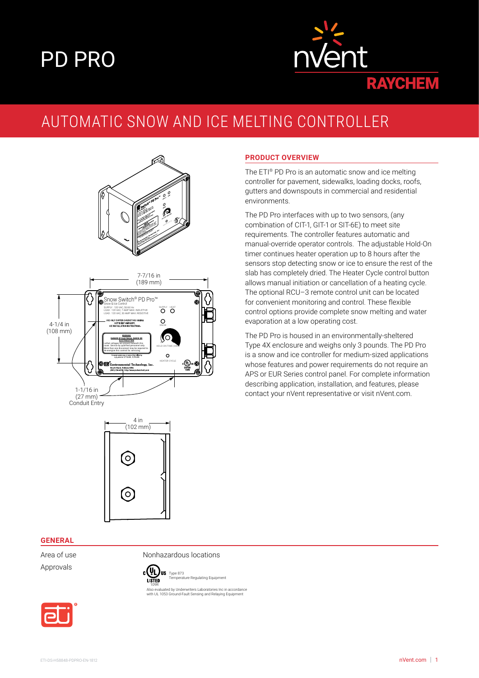# PD PRO



### AUTOMATIC SNOW AND ICE MELTING CONTROLLER



# 4 in  $(102 \text{ mm})$ (O) (O

#### **PRODUCT OVERVIEW**

The ETI® PD Pro is an automatic snow and ice melting controller for pavement, sidewalks, loading docks, roofs, gutters and downspouts in commercial and residential environments.

The PD Pro interfaces with up to two sensors, (any combination of CIT-1, GIT-1 or SIT-6E) to meet site requirements. The controller features automatic and manual-override operator controls. The adjustable Hold-On timer continues heater operation up to 8 hours after the sensors stop detecting snow or ice to ensure the rest of the slab has completely dried. The Heater Cycle control button allows manual initiation or cancellation of a heating cycle. The optional RCU–3 remote control unit can be located for convenient monitoring and control. These flexible control options provide complete snow melting and water evaporation at a low operating cost.

The PD Pro is housed in an environmentally-sheltered Type 4X enclosure and weighs only 3 pounds. The PD Pro is a snow and ice controller for medium-sized applications whose features and power requirements do not require an APS or EUR Series control panel. For complete information describing application, installation, and features, please contact your nVent representative or visit nVent.com.

#### **GENERAL**

Approvals

Area of use **Nonhazardous** locations



<u>re</u><br>Temperature Equipment 109R Also evaluated by Underwriters Laboratories Inc in accordance with UL 1053 Ground-Fault Sensing and Relaying Equipment